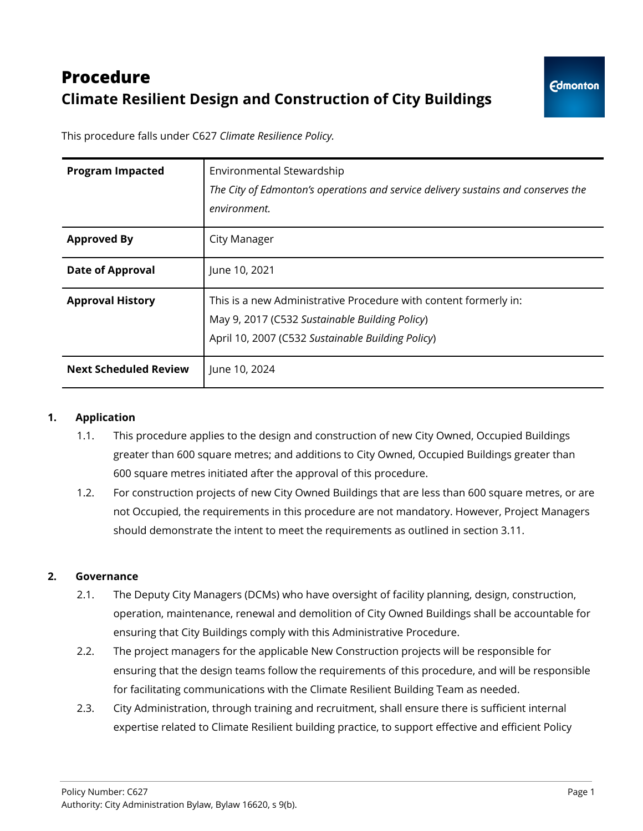# **Procedure Climate Resilient Design and Construction of City Buildings**

This procedure falls under C627 *Climate Resilience Policy.*

| <b>Program Impacted</b>      | Environmental Stewardship<br>The City of Edmonton's operations and service delivery sustains and conserves the<br>environment.                                          |
|------------------------------|-------------------------------------------------------------------------------------------------------------------------------------------------------------------------|
| <b>Approved By</b>           | City Manager                                                                                                                                                            |
| <b>Date of Approval</b>      | June 10, 2021                                                                                                                                                           |
| <b>Approval History</b>      | This is a new Administrative Procedure with content formerly in:<br>May 9, 2017 (C532 Sustainable Building Policy)<br>April 10, 2007 (C532 Sustainable Building Policy) |
| <b>Next Scheduled Review</b> | June 10, 2024                                                                                                                                                           |

#### **1. Application**

- 1.1. This procedure applies to the design and construction of new City Owned, Occupied Buildings greater than 600 square metres; and additions to City Owned, Occupied Buildings greater than 600 square metres initiated after the approval of this procedure.
- 1.2. For construction projects of new City Owned Buildings that are less than 600 square metres, or are not Occupied, the requirements in this procedure are not mandatory. However, Project Managers should demonstrate the intent to meet the requirements as outlined in section 3.11.

## **2. Governance**

- 2.1. The Deputy City Managers (DCMs) who have oversight of facility planning, design, construction, operation, maintenance, renewal and demolition of City Owned Buildings shall be accountable for ensuring that City Buildings comply with this Administrative Procedure.
- 2.2. The project managers for the applicable New Construction projects will be responsible for ensuring that the design teams follow the requirements of this procedure, and will be responsible for facilitating communications with the Climate Resilient Building Team as needed.
- 2.3. City Administration, through training and recruitment, shall ensure there is sufficient internal expertise related to Climate Resilient building practice, to support effective and efficient Policy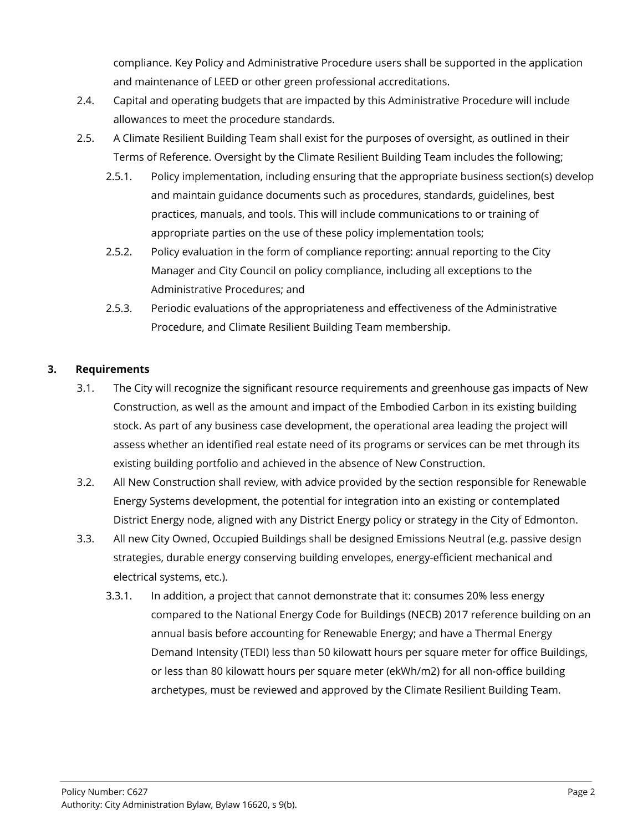compliance. Key Policy and Administrative Procedure users shall be supported in the application and maintenance of LEED or other green professional accreditations.

- 2.4. Capital and operating budgets that are impacted by this Administrative Procedure will include allowances to meet the procedure standards.
- 2.5. A Climate Resilient Building Team shall exist for the purposes of oversight, as outlined in their Terms of Reference. Oversight by the Climate Resilient Building Team includes the following;
	- 2.5.1. Policy implementation, including ensuring that the appropriate business section(s) develop and maintain guidance documents such as procedures, standards, guidelines, best practices, manuals, and tools. This will include communications to or training of appropriate parties on the use of these policy implementation tools;
	- 2.5.2. Policy evaluation in the form of compliance reporting: annual reporting to the City Manager and City Council on policy compliance, including all exceptions to the Administrative Procedures; and
	- 2.5.3. Periodic evaluations of the appropriateness and effectiveness of the Administrative Procedure, and Climate Resilient Building Team membership.

### **3. Requirements**

- 3.1. The City will recognize the significant resource requirements and greenhouse gas impacts of New Construction, as well as the amount and impact of the Embodied Carbon in its existing building stock. As part of any business case development, the operational area leading the project will assess whether an identified real estate need of its programs or services can be met through its existing building portfolio and achieved in the absence of New Construction.
- 3.2. All New Construction shall review, with advice provided by the section responsible for Renewable Energy Systems development, the potential for integration into an existing or contemplated District Energy node, aligned with any District Energy policy or strategy in the City of Edmonton.
- 3.3. All new City Owned, Occupied Buildings shall be designed Emissions Neutral (e.g. passive design strategies, durable energy conserving building envelopes, energy-efficient mechanical and electrical systems, etc.).
	- 3.3.1. In addition, a project that cannot demonstrate that it: consumes 20% less energy compared to the National Energy Code for Buildings (NECB) 2017 reference building on an annual basis before accounting for Renewable Energy; and have a Thermal Energy Demand Intensity (TEDI) less than 50 kilowatt hours per square meter for office Buildings, or less than 80 kilowatt hours per square meter (ekWh/m2) for all non-office building archetypes, must be reviewed and approved by the Climate Resilient Building Team.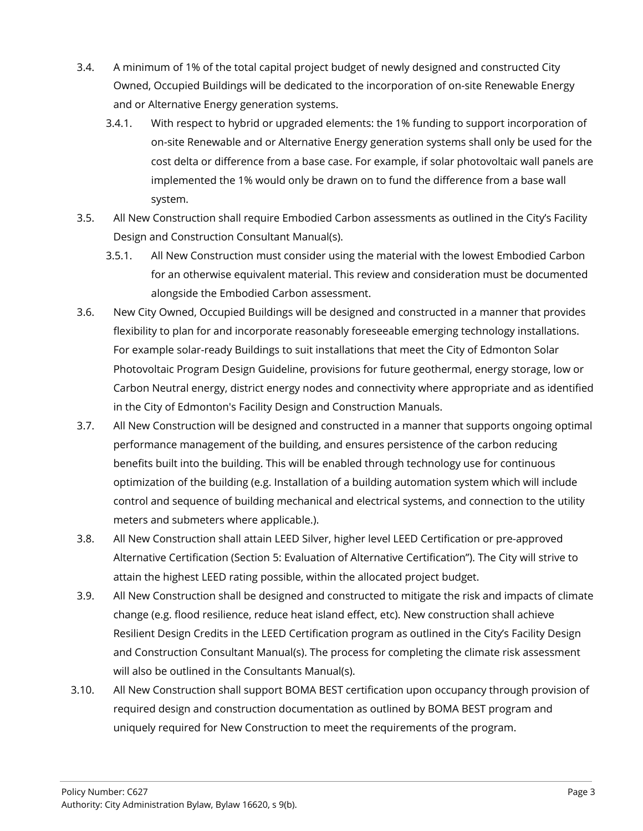- 3.4. A minimum of 1% of the total capital project budget of newly designed and constructed City Owned, Occupied Buildings will be dedicated to the incorporation of on-site Renewable Energy and or Alternative Energy generation systems.
	- 3.4.1. With respect to hybrid or upgraded elements: the 1% funding to support incorporation of on-site Renewable and or Alternative Energy generation systems shall only be used for the cost delta or difference from a base case. For example, if solar photovoltaic wall panels are implemented the 1% would only be drawn on to fund the difference from a base wall system.
- 3.5. All New Construction shall require Embodied Carbon assessments as outlined in the City's Facility Design and Construction Consultant Manual(s).
	- 3.5.1. All New Construction must consider using the material with the lowest Embodied Carbon for an otherwise equivalent material. This review and consideration must be documented alongside the Embodied Carbon assessment.
- 3.6. New City Owned, Occupied Buildings will be designed and constructed in a manner that provides flexibility to plan for and incorporate reasonably foreseeable emerging technology installations. For example solar-ready Buildings to suit installations that meet the City of Edmonton Solar Photovoltaic Program Design Guideline, provisions for future geothermal, energy storage, low or Carbon Neutral energy, district energy nodes and connectivity where appropriate and as identified in the City of Edmonton's Facility Design and Construction Manuals.
- 3.7. All New Construction will be designed and constructed in a manner that supports ongoing optimal performance management of the building, and ensures persistence of the carbon reducing benefits built into the building. This will be enabled through technology use for continuous optimization of the building (e.g. Installation of a building automation system which will include control and sequence of building mechanical and electrical systems, and connection to the utility meters and submeters where applicable.).
- 3.8. All New Construction shall attain LEED Silver, higher level LEED Certification or pre-approved Alternative Certification (Section 5: Evaluation of Alternative Certification"). The City will strive to attain the highest LEED rating possible, within the allocated project budget.
- 3.9. All New Construction shall be designed and constructed to mitigate the risk and impacts of climate change (e.g. flood resilience, reduce heat island effect, etc). New construction shall achieve Resilient Design Credits in the LEED Certification program as outlined in the City's Facility Design and Construction Consultant Manual(s). The process for completing the climate risk assessment will also be outlined in the Consultants Manual(s).
- 3.10. All New Construction shall support BOMA BEST certification upon occupancy through provision of required design and construction documentation as outlined by BOMA BEST program and uniquely required for New Construction to meet the requirements of the program.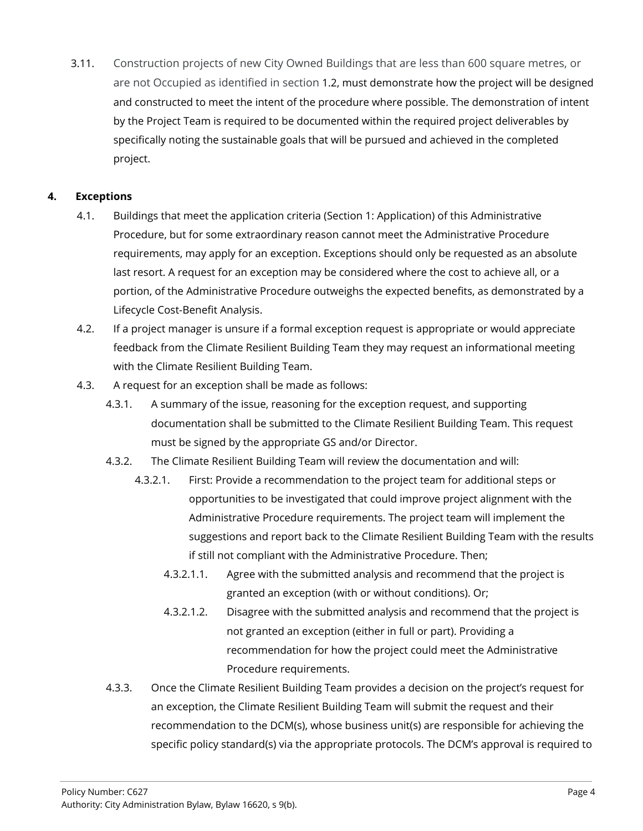3.11. Construction projects of new City Owned Buildings that are less than 600 square metres, or are not Occupied as identified in section 1.2, must demonstrate how the project will be designed and constructed to meet the intent of the procedure where possible. The demonstration of intent by the Project Team is required to be documented within the required project deliverables by specifically noting the sustainable goals that will be pursued and achieved in the completed project.

## **4. Exceptions**

- 4.1. Buildings that meet the application criteria (Section 1: Application) of this Administrative Procedure, but for some extraordinary reason cannot meet the Administrative Procedure requirements, may apply for an exception. Exceptions should only be requested as an absolute last resort. A request for an exception may be considered where the cost to achieve all, or a portion, of the Administrative Procedure outweighs the expected benefits, as demonstrated by a Lifecycle Cost-Benefit Analysis.
- 4.2. If a project manager is unsure if a formal exception request is appropriate or would appreciate feedback from the Climate Resilient Building Team they may request an informational meeting with the Climate Resilient Building Team.
- 4.3. A request for an exception shall be made as follows:
	- 4.3.1. A summary of the issue, reasoning for the exception request, and supporting documentation shall be submitted to the Climate Resilient Building Team. This request must be signed by the appropriate GS and/or Director.
	- 4.3.2. The Climate Resilient Building Team will review the documentation and will:
		- 4.3.2.1. First: Provide a recommendation to the project team for additional steps or opportunities to be investigated that could improve project alignment with the Administrative Procedure requirements. The project team will implement the suggestions and report back to the Climate Resilient Building Team with the results if still not compliant with the Administrative Procedure. Then;
			- 4.3.2.1.1. Agree with the submitted analysis and recommend that the project is granted an exception (with or without conditions). Or;
			- 4.3.2.1.2. Disagree with the submitted analysis and recommend that the project is not granted an exception (either in full or part). Providing a recommendation for how the project could meet the Administrative Procedure requirements.
	- 4.3.3. Once the Climate Resilient Building Team provides a decision on the project's request for an exception, the Climate Resilient Building Team will submit the request and their recommendation to the DCM(s), whose business unit(s) are responsible for achieving the specific policy standard(s) via the appropriate protocols. The DCM's approval is required to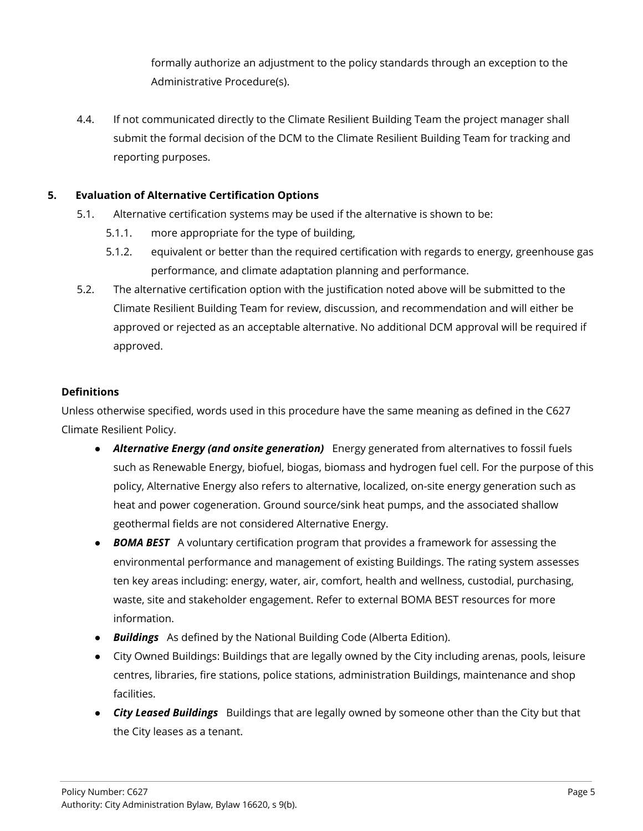formally authorize an adjustment to the policy standards through an exception to the Administrative Procedure(s).

4.4. If not communicated directly to the Climate Resilient Building Team the project manager shall submit the formal decision of the DCM to the Climate Resilient Building Team for tracking and reporting purposes.

## **5. Evaluation of Alternative Certification Options**

- 5.1. Alternative certification systems may be used if the alternative is shown to be:
	- 5.1.1. more appropriate for the type of building,
	- 5.1.2. equivalent or better than the required certification with regards to energy, greenhouse gas performance, and climate adaptation planning and performance.
- 5.2. The alternative certification option with the justification noted above will be submitted to the Climate Resilient Building Team for review, discussion, and recommendation and will either be approved or rejected as an acceptable alternative. No additional DCM approval will be required if approved.

### **Definitions**

Unless otherwise specified, words used in this procedure have the same meaning as defined in the C627 Climate Resilient Policy.

- *Alternative Energy (and onsite generation)* Energy generated from alternatives to fossil fuels such as Renewable Energy, biofuel, biogas, biomass and hydrogen fuel cell. For the purpose of this policy, Alternative Energy also refers to alternative, localized, on-site energy generation such as heat and power cogeneration. Ground source/sink heat pumps, and the associated shallow geothermal fields are not considered Alternative Energy.
- *BOMA BEST* A voluntary certification program that provides a framework for assessing the environmental performance and management of existing Buildings. The rating system assesses ten key areas including: energy, water, air, comfort, health and wellness, custodial, purchasing, waste, site and stakeholder engagement. Refer to external BOMA BEST resources for more information.
- *Buildings* As defined by the National Building Code (Alberta Edition).
- City Owned Buildings: Buildings that are legally owned by the City including arenas, pools, leisure centres, libraries, fire stations, police stations, administration Buildings, maintenance and shop facilities.
- *City Leased Buildings* Buildings that are legally owned by someone other than the City but that the City leases as a tenant.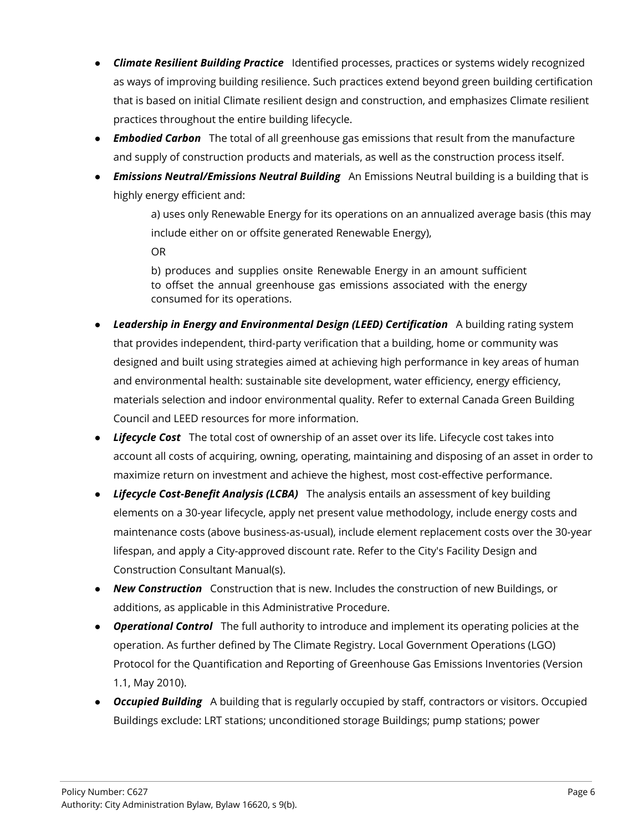- *Climate Resilient Building Practice* Identified processes, practices or systems widely recognized as ways of improving building resilience. Such practices extend beyond green building certification that is based on initial Climate resilient design and construction, and emphasizes Climate resilient practices throughout the entire building lifecycle.
- *Embodied Carbon* The total of all greenhouse gas emissions that result from the manufacture and supply of construction products and materials, as well as the construction process itself.
- *Emissions Neutral/Emissions Neutral Building* An Emissions Neutral building is a building that is highly energy efficient and:

a) uses only Renewable Energy for its operations on an annualized average basis (this may include either on or offsite generated Renewable Energy), OR

b) produces and supplies onsite Renewable Energy in an amount sufficient to offset the annual greenhouse gas emissions associated with the energy consumed for its operations.

- *Leadership in Energy and Environmental Design (LEED) Certification* A building rating system that provides independent, third-party verification that a building, home or community was designed and built using strategies aimed at achieving high performance in key areas of human and environmental health: sustainable site development, water efficiency, energy efficiency, materials selection and indoor environmental quality. Refer to external Canada Green Building Council and LEED resources for more information.
- *Lifecycle Cost* The total cost of ownership of an asset over its life. Lifecycle cost takes into account all costs of acquiring, owning, operating, maintaining and disposing of an asset in order to maximize return on investment and achieve the highest, most cost-effective performance.
- *Lifecycle Cost-Benefit Analysis (LCBA)* The analysis entails an assessment of key building elements on a 30-year lifecycle, apply net present value methodology, include energy costs and maintenance costs (above business-as-usual), include element replacement costs over the 30-year lifespan, and apply a City-approved discount rate. Refer to the City's Facility Design and Construction Consultant Manual(s).
- *New Construction* Construction that is new. Includes the construction of new Buildings, or additions, as applicable in this Administrative Procedure.
- *Operational Control* The full authority to introduce and implement its operating policies at the operation. As further defined by The Climate Registry. Local Government Operations (LGO) Protocol for the Quantification and Reporting of Greenhouse Gas Emissions Inventories (Version 1.1, May 2010).
- *Occupied Building* A building that is regularly occupied by staff, contractors or visitors. Occupied Buildings exclude: LRT stations; unconditioned storage Buildings; pump stations; power